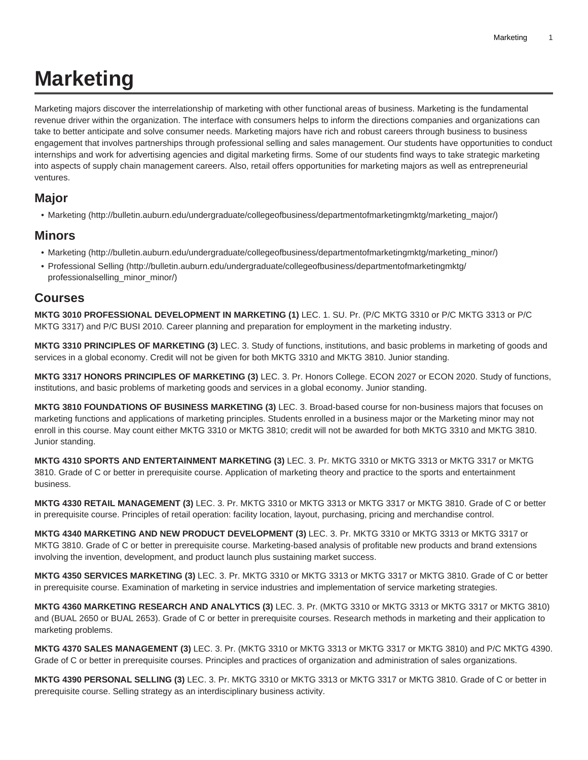## **Marketing**

Marketing majors discover the interrelationship of marketing with other functional areas of business. Marketing is the fundamental revenue driver within the organization. The interface with consumers helps to inform the directions companies and organizations can take to better anticipate and solve consumer needs. Marketing majors have rich and robust careers through business to business engagement that involves partnerships through professional selling and sales management. Our students have opportunities to conduct internships and work for advertising agencies and digital marketing firms. Some of our students find ways to take strategic marketing into aspects of supply chain management careers. Also, retail offers opportunities for marketing majors as well as entrepreneurial ventures.

## **Major**

• [Marketing \(http://bulletin.auburn.edu/undergraduate/collegeofbusiness/departmentofmarketingmktg/marketing\\_major/\)](http://bulletin.auburn.edu/undergraduate/collegeofbusiness/departmentofmarketingmktg/marketing_major/)

## **Minors**

- [Marketing \(http://bulletin.auburn.edu/undergraduate/collegeofbusiness/departmentofmarketingmktg/marketing\\_minor/\)](http://bulletin.auburn.edu/undergraduate/collegeofbusiness/departmentofmarketingmktg/marketing_minor/)
- [Professional Selling](http://bulletin.auburn.edu/undergraduate/collegeofbusiness/departmentofmarketingmktg/professionalselling_minor_minor/) ([http://bulletin.auburn.edu/undergraduate/collegeofbusiness/departmentofmarketingmktg/](http://bulletin.auburn.edu/undergraduate/collegeofbusiness/departmentofmarketingmktg/professionalselling_minor_minor/) [professionalselling\\_minor\\_minor/\)](http://bulletin.auburn.edu/undergraduate/collegeofbusiness/departmentofmarketingmktg/professionalselling_minor_minor/)

## **Courses**

**MKTG 3010 PROFESSIONAL DEVELOPMENT IN MARKETING (1)** LEC. 1. SU. Pr. (P/C MKTG 3310 or P/C MKTG 3313 or P/C MKTG 3317) and P/C BUSI 2010. Career planning and preparation for employment in the marketing industry.

**MKTG 3310 PRINCIPLES OF MARKETING (3)** LEC. 3. Study of functions, institutions, and basic problems in marketing of goods and services in a global economy. Credit will not be given for both MKTG 3310 and MKTG 3810. Junior standing.

**MKTG 3317 HONORS PRINCIPLES OF MARKETING (3)** LEC. 3. Pr. Honors College. ECON 2027 or ECON 2020. Study of functions, institutions, and basic problems of marketing goods and services in a global economy. Junior standing.

**MKTG 3810 FOUNDATIONS OF BUSINESS MARKETING (3)** LEC. 3. Broad-based course for non-business majors that focuses on marketing functions and applications of marketing principles. Students enrolled in a business major or the Marketing minor may not enroll in this course. May count either MKTG 3310 or MKTG 3810; credit will not be awarded for both MKTG 3310 and MKTG 3810. Junior standing.

**MKTG 4310 SPORTS AND ENTERTAINMENT MARKETING (3)** LEC. 3. Pr. MKTG 3310 or MKTG 3313 or MKTG 3317 or MKTG 3810. Grade of C or better in prerequisite course. Application of marketing theory and practice to the sports and entertainment business.

**MKTG 4330 RETAIL MANAGEMENT (3)** LEC. 3. Pr. MKTG 3310 or MKTG 3313 or MKTG 3317 or MKTG 3810. Grade of C or better in prerequisite course. Principles of retail operation: facility location, layout, purchasing, pricing and merchandise control.

**MKTG 4340 MARKETING AND NEW PRODUCT DEVELOPMENT (3)** LEC. 3. Pr. MKTG 3310 or MKTG 3313 or MKTG 3317 or MKTG 3810. Grade of C or better in prerequisite course. Marketing-based analysis of profitable new products and brand extensions involving the invention, development, and product launch plus sustaining market success.

**MKTG 4350 SERVICES MARKETING (3)** LEC. 3. Pr. MKTG 3310 or MKTG 3313 or MKTG 3317 or MKTG 3810. Grade of C or better in prerequisite course. Examination of marketing in service industries and implementation of service marketing strategies.

**MKTG 4360 MARKETING RESEARCH AND ANALYTICS (3)** LEC. 3. Pr. (MKTG 3310 or MKTG 3313 or MKTG 3317 or MKTG 3810) and (BUAL 2650 or BUAL 2653). Grade of C or better in prerequisite courses. Research methods in marketing and their application to marketing problems.

**MKTG 4370 SALES MANAGEMENT (3)** LEC. 3. Pr. (MKTG 3310 or MKTG 3313 or MKTG 3317 or MKTG 3810) and P/C MKTG 4390. Grade of C or better in prerequisite courses. Principles and practices of organization and administration of sales organizations.

**MKTG 4390 PERSONAL SELLING (3)** LEC. 3. Pr. MKTG 3310 or MKTG 3313 or MKTG 3317 or MKTG 3810. Grade of C or better in prerequisite course. Selling strategy as an interdisciplinary business activity.